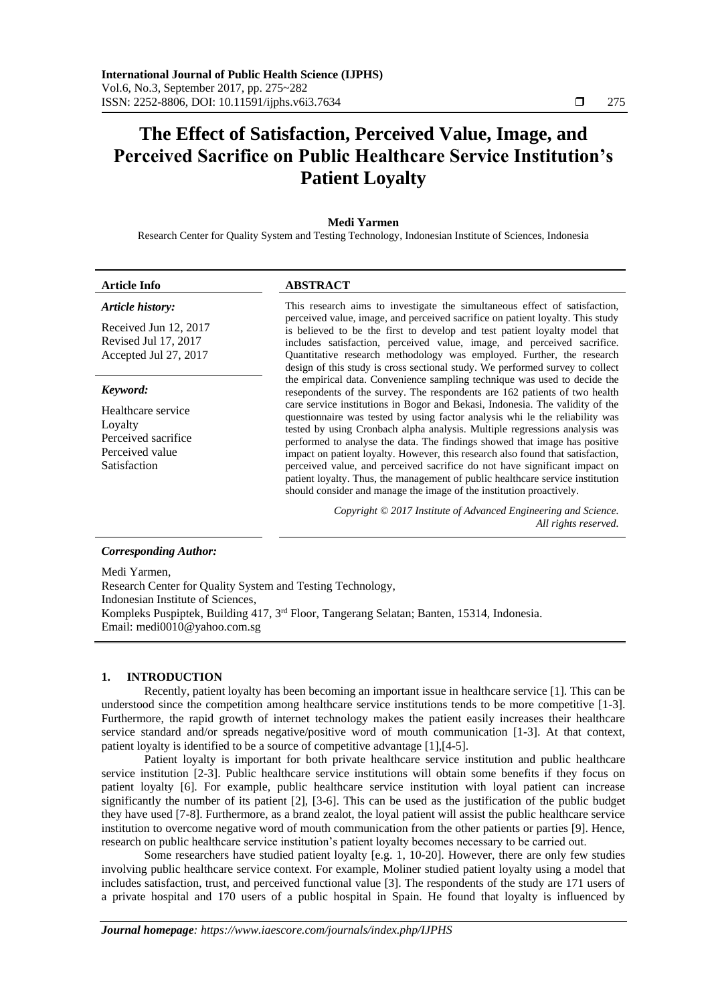# **The Effect of Satisfaction, Perceived Value, Image, and Perceived Sacrifice on Public Healthcare Service Institution's Patient Loyalty**

### **Medi Yarmen**

Research Center for Quality System and Testing Technology, Indonesian Institute of Sciences, Indonesia

#### **Article Info ABSTRACT**

#### *Article history:*

Received Jun 12, 2017 Revised Jul 17, 2017 Accepted Jul 27, 2017

#### *Keyword:*

Healthcare service Loyalty Perceived sacrifice Perceived value Satisfaction

This research aims to investigate the simultaneous effect of satisfaction, perceived value, image, and perceived sacrifice on patient loyalty. This study is believed to be the first to develop and test patient loyalty model that includes satisfaction, perceived value, image, and perceived sacrifice. Quantitative research methodology was employed. Further, the research design of this study is cross sectional study. We performed survey to collect the empirical data. Convenience sampling technique was used to decide the resepondents of the survey. The respondents are 162 patients of two health care service institutions in Bogor and Bekasi, Indonesia. The validity of the questionnaire was tested by using factor analysis whi le the reliability was tested by using Cronbach alpha analysis. Multiple regressions analysis was performed to analyse the data. The findings showed that image has positive impact on patient loyalty. However, this research also found that satisfaction, perceived value, and perceived sacrifice do not have significant impact on patient loyalty. Thus, the management of public healthcare service institution should consider and manage the image of the institution proactively.

> *Copyright © 2017 Institute of Advanced Engineering and Science. All rights reserved.*

#### *Corresponding Author:*

Medi Yarmen, Research Center for Quality System and Testing Technology, Indonesian Institute of Sciences, Kompleks Puspiptek, Building 417, 3rd Floor, Tangerang Selatan; Banten, 15314, Indonesia. Email: medi0010@yahoo.com.sg

## **1. INTRODUCTION**

Recently, patient loyalty has been becoming an important issue in healthcare service [1]. This can be understood since the competition among healthcare service institutions tends to be more competitive [1-3]. Furthermore, the rapid growth of internet technology makes the patient easily increases their healthcare service standard and/or spreads negative/positive word of mouth communication [1-3]. At that context, patient loyalty is identified to be a source of competitive advantage [1],[4-5].

Patient loyalty is important for both private healthcare service institution and public healthcare service institution [2-3]. Public healthcare service institutions will obtain some benefits if they focus on patient loyalty [6]. For example, public healthcare service institution with loyal patient can increase significantly the number of its patient [2], [3-6]. This can be used as the justification of the public budget they have used [7-8]. Furthermore, as a brand zealot, the loyal patient will assist the public healthcare service institution to overcome negative word of mouth communication from the other patients or parties [9]. Hence, research on public healthcare service institution's patient loyalty becomes necessary to be carried out.

Some researchers have studied patient loyalty [e.g. 1, 10-20]. However, there are only few studies involving public healthcare service context. For example, Moliner studied patient loyalty using a model that includes satisfaction, trust, and perceived functional value [3]. The respondents of the study are 171 users of a private hospital and 170 users of a public hospital in Spain. He found that loyalty is influenced by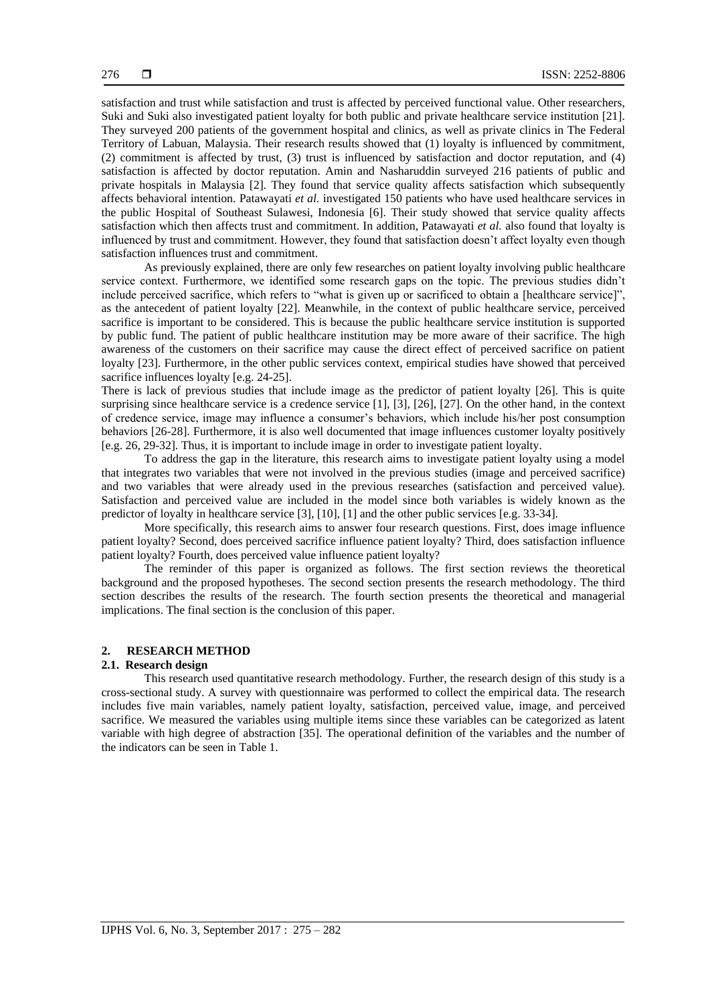satisfaction and trust while satisfaction and trust is affected by perceived functional value. Other researchers, Suki and Suki also investigated patient loyalty for both public and private healthcare service institution [21]. They surveyed 200 patients of the government hospital and clinics, as well as private clinics in The Federal Territory of Labuan, Malaysia. Their research results showed that (1) loyalty is influenced by commitment, (2) commitment is affected by trust, (3) trust is influenced by satisfaction and doctor reputation, and (4) satisfaction is affected by doctor reputation. Amin and Nasharuddin surveyed 216 patients of public and private hospitals in Malaysia [2]. They found that service quality affects satisfaction which subsequently affects behavioral intention. Patawayati *et al.* investigated 150 patients who have used healthcare services in the public Hospital of Southeast Sulawesi, Indonesia [6]. Their study showed that service quality affects satisfaction which then affects trust and commitment. In addition, Patawayati *et al.* also found that loyalty is influenced by trust and commitment. However, they found that satisfaction doesn't affect loyalty even though satisfaction influences trust and commitment.

As previously explained, there are only few researches on patient loyalty involving public healthcare service context. Furthermore, we identified some research gaps on the topic. The previous studies didn't include perceived sacrifice, which refers to "what is given up or sacrificed to obtain a [healthcare service]", as the antecedent of patient loyalty [22]. Meanwhile, in the context of public healthcare service, perceived sacrifice is important to be considered. This is because the public healthcare service institution is supported by public fund. The patient of public healthcare institution may be more aware of their sacrifice. The high awareness of the customers on their sacrifice may cause the direct effect of perceived sacrifice on patient loyalty [23]. Furthermore, in the other public services context, empirical studies have showed that perceived sacrifice influences loyalty [e.g. 24-25].

There is lack of previous studies that include image as the predictor of patient loyalty [26]. This is quite surprising since healthcare service is a credence service [1], [3], [26], [27]. On the other hand, in the context of credence service, image may influence a consumer's behaviors, which include his/her post consumption behaviors [26-28]. Furthermore, it is also well documented that image influences customer loyalty positively [e.g. 26, 29-32]. Thus, it is important to include image in order to investigate patient loyalty.

To address the gap in the literature, this research aims to investigate patient loyalty using a model that integrates two variables that were not involved in the previous studies (image and perceived sacrifice) and two variables that were already used in the previous researches (satisfaction and perceived value). Satisfaction and perceived value are included in the model since both variables is widely known as the predictor of loyalty in healthcare service [3], [10], [1] and the other public services [e.g. 33-34].

More specifically, this research aims to answer four research questions. First, does image influence patient loyalty? Second, does perceived sacrifice influence patient loyalty? Third, does satisfaction influence patient loyalty? Fourth, does perceived value influence patient loyalty?

The reminder of this paper is organized as follows. The first section reviews the theoretical background and the proposed hypotheses. The second section presents the research methodology. The third section describes the results of the research. The fourth section presents the theoretical and managerial implications. The final section is the conclusion of this paper.

#### **2. RESEARCH METHOD**

#### **2.1. Research design**

This research used quantitative research methodology. Further, the research design of this study is a cross-sectional study. A survey with questionnaire was performed to collect the empirical data. The research includes five main variables, namely patient loyalty, satisfaction, perceived value, image, and perceived sacrifice. We measured the variables using multiple items since these variables can be categorized as latent variable with high degree of abstraction [35]. The operational definition of the variables and the number of the indicators can be seen in Table 1.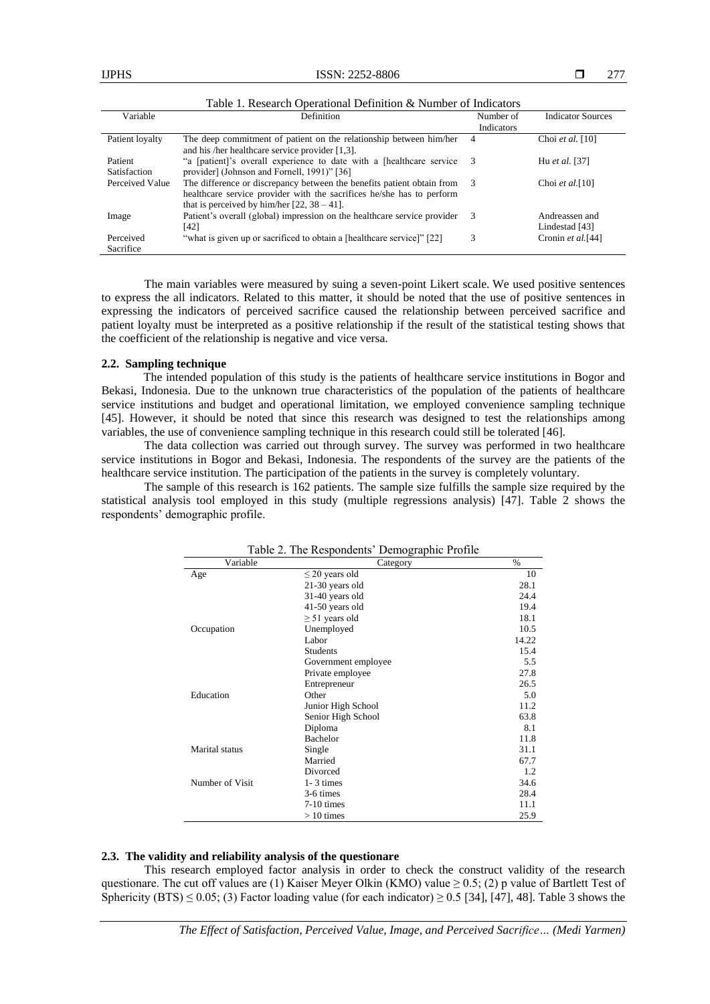| Variable                | ruole 1: Rebearen Operational Benningon een annoel of mareatorb<br>Definition                                                                                                                       | Number of  | <b>Indicator Sources</b>         |  |
|-------------------------|-----------------------------------------------------------------------------------------------------------------------------------------------------------------------------------------------------|------------|----------------------------------|--|
|                         |                                                                                                                                                                                                     | Indicators |                                  |  |
| Patient loyalty         | The deep commitment of patient on the relationship between him/her<br>and his /her healthcare service provider $[1,3]$ .                                                                            |            | Choi et al. [10]                 |  |
| Patient<br>Satisfaction | "a [patient]'s overall experience to date with a [healthcare service 3<br>provider] (Johnson and Fornell, 1991)" [36]                                                                               |            | Hu et al. [37]                   |  |
| Perceived Value         | The difference or discrepancy between the benefits patient obtain from 3<br>healthcare service provider with the sacrifices he/she has to perform<br>that is perceived by him/her $[22, 38 - 41]$ . |            | Choi et al. $[10]$               |  |
| Image                   | Patient's overall (global) impression on the healthcare service provider<br>[42]                                                                                                                    | 3          | Andreassen and<br>Lindestad [43] |  |
| Perceived<br>Sacrifice  | "what is given up or sacrificed to obtain a [healthcare service]" [22]                                                                                                                              |            | Cronin et al.[44]                |  |

Table 1. Research Operational Definition & Number of Indicators

The main variables were measured by suing a seven-point Likert scale. We used positive sentences to express the all indicators. Related to this matter, it should be noted that the use of positive sentences in expressing the indicators of perceived sacrifice caused the relationship between perceived sacrifice and patient loyalty must be interpreted as a positive relationship if the result of the statistical testing shows that the coefficient of the relationship is negative and vice versa.

#### **2.2. Sampling technique**

The intended population of this study is the patients of healthcare service institutions in Bogor and Bekasi, Indonesia. Due to the unknown true characteristics of the population of the patients of healthcare service institutions and budget and operational limitation, we employed convenience sampling technique [45]. However, it should be noted that since this research was designed to test the relationships among variables, the use of convenience sampling technique in this research could still be tolerated [46].

The data collection was carried out through survey. The survey was performed in two healthcare service institutions in Bogor and Bekasi, Indonesia. The respondents of the survey are the patients of the healthcare service institution. The participation of the patients in the survey is completely voluntary.

The sample of this research is 162 patients. The sample size fulfills the sample size required by the statistical analysis tool employed in this study (multiple regressions analysis) [47]. Table 2 shows the respondents' demographic profile.

|                 | Table 2. The Respondents' Demographic Profile |       |
|-----------------|-----------------------------------------------|-------|
| Variable        | Category                                      | $\%$  |
| Age             | $\leq$ 20 years old                           | 10    |
|                 | 21-30 years old                               | 28.1  |
|                 | 31-40 years old                               | 24.4  |
|                 | 41-50 years old                               | 19.4  |
|                 | $\geq$ 51 years old                           | 18.1  |
| Occupation      | Unemployed                                    | 10.5  |
|                 | Labor                                         | 14.22 |
|                 | <b>Students</b>                               | 15.4  |
|                 | Government employee                           | 5.5   |
|                 | Private employee                              | 27.8  |
|                 | Entrepreneur                                  | 26.5  |
| Education       | Other                                         | 5.0   |
|                 | Junior High School                            | 11.2  |
|                 | Senior High School                            | 63.8  |
|                 | Diploma                                       | 8.1   |
|                 | <b>Bachelor</b>                               | 11.8  |
| Marital status  | Single                                        | 31.1  |
|                 | Married                                       | 67.7  |
|                 | Divorced                                      | 1.2   |
| Number of Visit | $1 - 3$ times                                 | 34.6  |
|                 | 3-6 times                                     | 28.4  |
|                 | $7-10$ times                                  | 11.1  |
|                 | $>10$ times                                   | 25.9  |

#### **2.3. The validity and reliability analysis of the questionare**

This research employed factor analysis in order to check the construct validity of the research questionare. The cut off values are (1) Kaiser Meyer Olkin (KMO) value  $\geq 0.5$ ; (2) p value of Bartlett Test of Sphericity (BTS)  $\leq 0.05$ ; (3) Factor loading value (for each indicator)  $\geq 0.5$  [34], [47], 48]. Table 3 shows the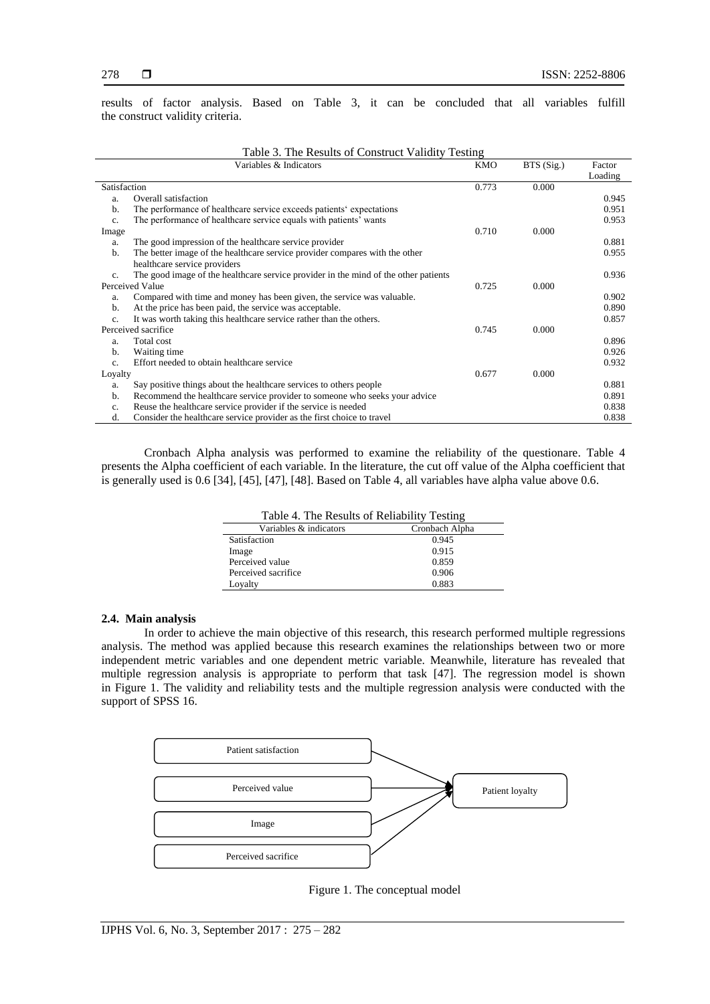results of factor analysis. Based on Table 3, it can be concluded that all variables fulfill the construct validity criteria.

| Variables & Indicators |                                                                                     | <b>KMO</b> | BTS (Sig.) | Factor  |
|------------------------|-------------------------------------------------------------------------------------|------------|------------|---------|
|                        |                                                                                     |            |            | Loading |
| Satisfaction           |                                                                                     | 0.773      | 0.000      |         |
| a.                     | Overall satisfaction                                                                |            |            | 0.945   |
| b.                     | The performance of healthcare service exceeds patients' expectations                |            |            | 0.951   |
| $c_{\cdot}$            | The performance of healthcare service equals with patients' wants                   |            |            | 0.953   |
| Image                  |                                                                                     | 0.710      | 0.000      |         |
| a.                     | The good impression of the healthcare service provider                              |            |            | 0.881   |
| b.                     | The better image of the healthcare service provider compares with the other         |            |            | 0.955   |
|                        | healthcare service providers                                                        |            |            |         |
| c.                     | The good image of the healthcare service provider in the mind of the other patients |            |            | 0.936   |
|                        | Perceived Value                                                                     | 0.725      | 0.000      |         |
| a.                     | Compared with time and money has been given, the service was valuable.              |            |            | 0.902   |
| b.                     | At the price has been paid, the service was acceptable.                             |            |            | 0.890   |
| c.                     | It was worth taking this healthcare service rather than the others.                 |            |            | 0.857   |
|                        | Perceived sacrifice                                                                 | 0.745      | 0.000      |         |
| a.                     | Total cost                                                                          |            |            | 0.896   |
| b.                     | Waiting time                                                                        |            |            | 0.926   |
| $\mathbf{c}$ .         | Effort needed to obtain healthcare service                                          |            |            | 0.932   |
| Loyalty                |                                                                                     | 0.677      | 0.000      |         |
| a.                     | Say positive things about the healthcare services to others people                  |            |            | 0.881   |
| b.                     | Recommend the healthcare service provider to someone who seeks your advice          |            |            | 0.891   |
| $\mathbf{c}$ .         | Reuse the healthcare service provider if the service is needed                      |            |            | 0.838   |
| d.                     | Consider the healthcare service provider as the first choice to travel              |            |            | 0.838   |

Table 3. The Results of Construct Validity Testing

Cronbach Alpha analysis was performed to examine the reliability of the questionare. Table 4 presents the Alpha coefficient of each variable. In the literature, the cut off value of the Alpha coefficient that is generally used is 0.6 [34], [45], [47], [48]. Based on Table 4, all variables have alpha value above 0.6.

| Table 4. The Results of Reliability Testing |                |  |  |
|---------------------------------------------|----------------|--|--|
| Variables & indicators                      | Cronbach Alpha |  |  |
| Satisfaction                                | 0.945          |  |  |
| Image                                       | 0.915          |  |  |
| Perceived value                             | 0.859          |  |  |
| Perceived sacrifice                         | 0.906          |  |  |
| Loyalty                                     | 0.883          |  |  |

#### **2.4. Main analysis**

In order to achieve the main objective of this research, this research performed multiple regressions analysis. The method was applied because this research examines the relationships between two or more independent metric variables and one dependent metric variable. Meanwhile, literature has revealed that multiple regression analysis is appropriate to perform that task [47]. The regression model is shown in Figure 1. The validity and reliability tests and the multiple regression analysis were conducted with the support of SPSS 16.



Figure 1. The conceptual model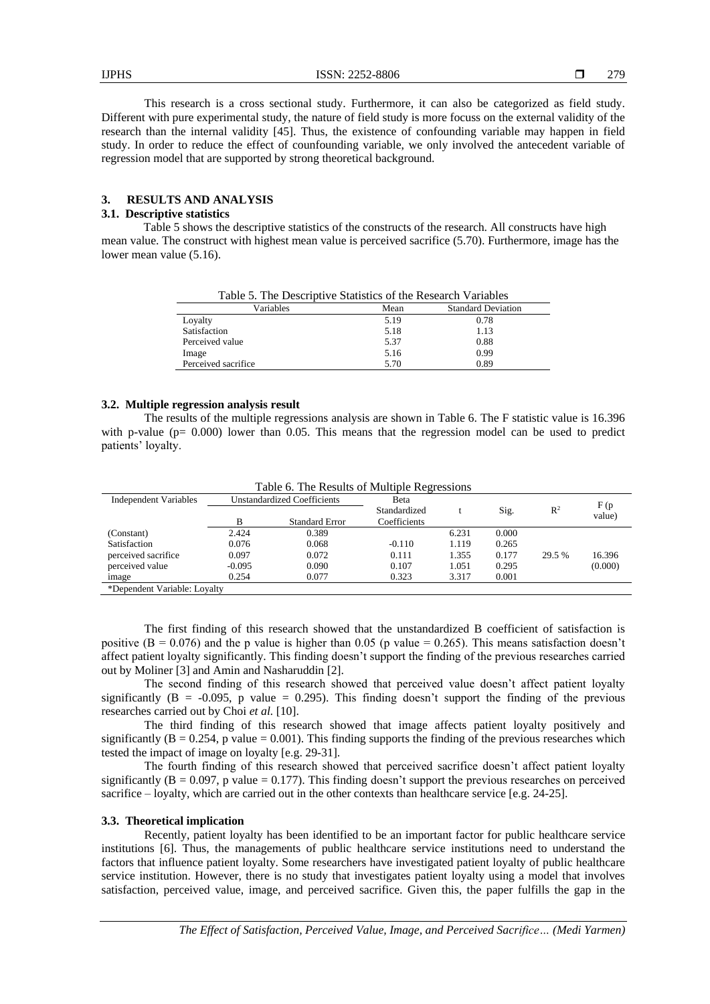279

This research is a cross sectional study. Furthermore, it can also be categorized as field study. Different with pure experimental study, the nature of field study is more focuss on the external validity of the research than the internal validity [45]. Thus, the existence of confounding variable may happen in field study. In order to reduce the effect of counfounding variable, we only involved the antecedent variable of regression model that are supported by strong theoretical background.

# **3. RESULTS AND ANALYSIS**

# **3.1. Descriptive statistics**

Table 5 shows the descriptive statistics of the constructs of the research. All constructs have high mean value. The construct with highest mean value is perceived sacrifice (5.70). Furthermore, image has the lower mean value (5.16).

| Table 5. The Descriptive Statistics of the Research Variables |      |                           |  |  |
|---------------------------------------------------------------|------|---------------------------|--|--|
| Variables                                                     | Mean | <b>Standard Deviation</b> |  |  |
| Loyalty                                                       | 5.19 | 0.78                      |  |  |
| Satisfaction                                                  | 5.18 | 1.13                      |  |  |
| Perceived value                                               | 5.37 | 0.88                      |  |  |
| Image                                                         | 5.16 | 0.99                      |  |  |
| Perceived sacrifice                                           | 5.70 | 0.89                      |  |  |

#### **3.2. Multiple regression analysis result**

The results of the multiple regressions analysis are shown in Table 6. The F statistic value is 16.396 with p-value  $(p= 0.000)$  lower than 0.05. This means that the regression model can be used to predict patients' loyalty.

| <b>Independent Variables</b> | <b>Unstandardized Coefficients</b> |                       | Beta         |       |       |                | F(p)    |
|------------------------------|------------------------------------|-----------------------|--------------|-------|-------|----------------|---------|
|                              |                                    |                       | Standardized |       | Sig.  | $\mathbb{R}^2$ | value)  |
|                              | В                                  | <b>Standard Error</b> | Coefficients |       |       |                |         |
| (Constant)                   | 2.424                              | 0.389                 |              | 6.231 | 0.000 |                |         |
| Satisfaction                 | 0.076                              | 0.068                 | $-0.110$     | 1.119 | 0.265 |                |         |
| perceived sacrifice          | 0.097                              | 0.072                 | 0.111        | 1.355 | 0.177 | 29.5 %         | 16.396  |
| perceived value              | $-0.095$                           | 0.090                 | 0.107        | 1.051 | 0.295 |                | (0.000) |
| image                        | 0.254                              | 0.077                 | 0.323        | 3.317 | 0.001 |                |         |
| *Dependent Variable: Loyalty |                                    |                       |              |       |       |                |         |

Table 6. The Results of Multiple Regressions

The first finding of this research showed that the unstandardized B coefficient of satisfaction is positive ( $B = 0.076$ ) and the p value is higher than 0.05 (p value = 0.265). This means satisfaction doesn't affect patient loyalty significantly. This finding doesn't support the finding of the previous researches carried out by Moliner [3] and Amin and Nasharuddin [2].

The second finding of this research showed that perceived value doesn't affect patient loyalty significantly  $(B = -0.095, p$  value = 0.295). This finding doesn't support the finding of the previous researches carried out by Choi *et al.* [10].

The third finding of this research showed that image affects patient loyalty positively and significantly  $(B = 0.254$ , p value  $= 0.001$ ). This finding supports the finding of the previous researches which tested the impact of image on loyalty [e.g. 29-31].

The fourth finding of this research showed that perceived sacrifice doesn't affect patient loyalty significantly  $(B = 0.097, p$  value = 0.177). This finding doesn't support the previous researches on perceived sacrifice – loyalty, which are carried out in the other contexts than healthcare service [e.g. 24-25].

### **3.3. Theoretical implication**

Recently, patient loyalty has been identified to be an important factor for public healthcare service institutions [6]. Thus, the managements of public healthcare service institutions need to understand the factors that influence patient loyalty. Some researchers have investigated patient loyalty of public healthcare service institution. However, there is no study that investigates patient loyalty using a model that involves satisfaction, perceived value, image, and perceived sacrifice. Given this, the paper fulfills the gap in the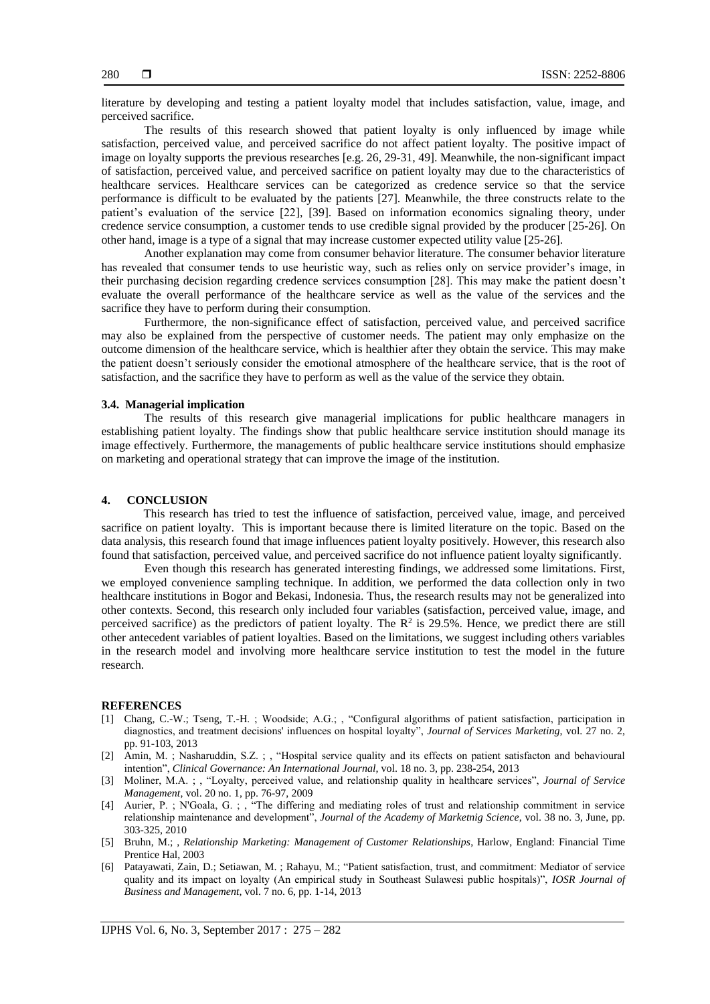literature by developing and testing a patient loyalty model that includes satisfaction, value, image, and perceived sacrifice.

The results of this research showed that patient loyalty is only influenced by image while satisfaction, perceived value, and perceived sacrifice do not affect patient loyalty. The positive impact of image on loyalty supports the previous researches [e.g. 26, 29-31, 49]. Meanwhile, the non-significant impact of satisfaction, perceived value, and perceived sacrifice on patient loyalty may due to the characteristics of healthcare services. Healthcare services can be categorized as credence service so that the service performance is difficult to be evaluated by the patients [27]. Meanwhile, the three constructs relate to the patient's evaluation of the service [22], [39]. Based on information economics signaling theory, under credence service consumption, a customer tends to use credible signal provided by the producer [25-26]. On other hand, image is a type of a signal that may increase customer expected utility value [25-26].

Another explanation may come from consumer behavior literature. The consumer behavior literature has revealed that consumer tends to use heuristic way, such as relies only on service provider's image, in their purchasing decision regarding credence services consumption [28]. This may make the patient doesn't evaluate the overall performance of the healthcare service as well as the value of the services and the sacrifice they have to perform during their consumption.

Furthermore, the non-significance effect of satisfaction, perceived value, and perceived sacrifice may also be explained from the perspective of customer needs. The patient may only emphasize on the outcome dimension of the healthcare service, which is healthier after they obtain the service. This may make the patient doesn't seriously consider the emotional atmosphere of the healthcare service, that is the root of satisfaction, and the sacrifice they have to perform as well as the value of the service they obtain.

#### **3.4. Managerial implication**

The results of this research give managerial implications for public healthcare managers in establishing patient loyalty. The findings show that public healthcare service institution should manage its image effectively. Furthermore, the managements of public healthcare service institutions should emphasize on marketing and operational strategy that can improve the image of the institution.

#### **4. CONCLUSION**

This research has tried to test the influence of satisfaction, perceived value, image, and perceived sacrifice on patient loyalty. This is important because there is limited literature on the topic. Based on the data analysis, this research found that image influences patient loyalty positively. However, this research also found that satisfaction, perceived value, and perceived sacrifice do not influence patient loyalty significantly.

Even though this research has generated interesting findings, we addressed some limitations. First, we employed convenience sampling technique. In addition, we performed the data collection only in two healthcare institutions in Bogor and Bekasi, Indonesia. Thus, the research results may not be generalized into other contexts. Second, this research only included four variables (satisfaction, perceived value, image, and perceived sacrifice) as the predictors of patient loyalty. The  $\mathbb{R}^2$  is 29.5%. Hence, we predict there are still other antecedent variables of patient loyalties. Based on the limitations, we suggest including others variables in the research model and involving more healthcare service institution to test the model in the future research.

#### **REFERENCES**

- [1] Chang, C.-W.; Tseng, T.-H. ; Woodside; A.G.; , "Configural algorithms of patient satisfaction, participation in diagnostics, and treatment decisions' influences on hospital loyalty", *Journal of Services Marketing*, vol. 27 no. 2, pp. 91-103, 2013
- [2] Amin, M. ; Nasharuddin, S.Z. ; , "Hospital service quality and its effects on patient satisfacton and behavioural intention", *Clinical Governance: An International Journal*, vol. 18 no. 3, pp. 238-254, 2013
- [3] Moliner, M.A. ; , "Loyalty, perceived value, and relationship quality in healthcare services", *Journal of Service Management*, vol. 20 no. 1, pp. 76-97, 2009
- [4] Aurier, P. ; N'Goala, G. ; , "The differing and mediating roles of trust and relationship commitment in service relationship maintenance and development", *Journal of the Academy of Marketnig Science*, vol. 38 no. 3, June, pp. 303-325, 2010
- [5] Bruhn, M.; , *Relationship Marketing: Management of Customer Relationships*, Harlow, England: Financial Time Prentice Hal, 2003
- [6] Patayawati, Zain, D.; Setiawan, M. ; Rahayu, M.; "Patient satisfaction, trust, and commitment: Mediator of service quality and its impact on loyalty (An empirical study in Southeast Sulawesi public hospitals)", *IOSR Journal of Business and Management*, vol. 7 no. 6, pp. 1-14, 2013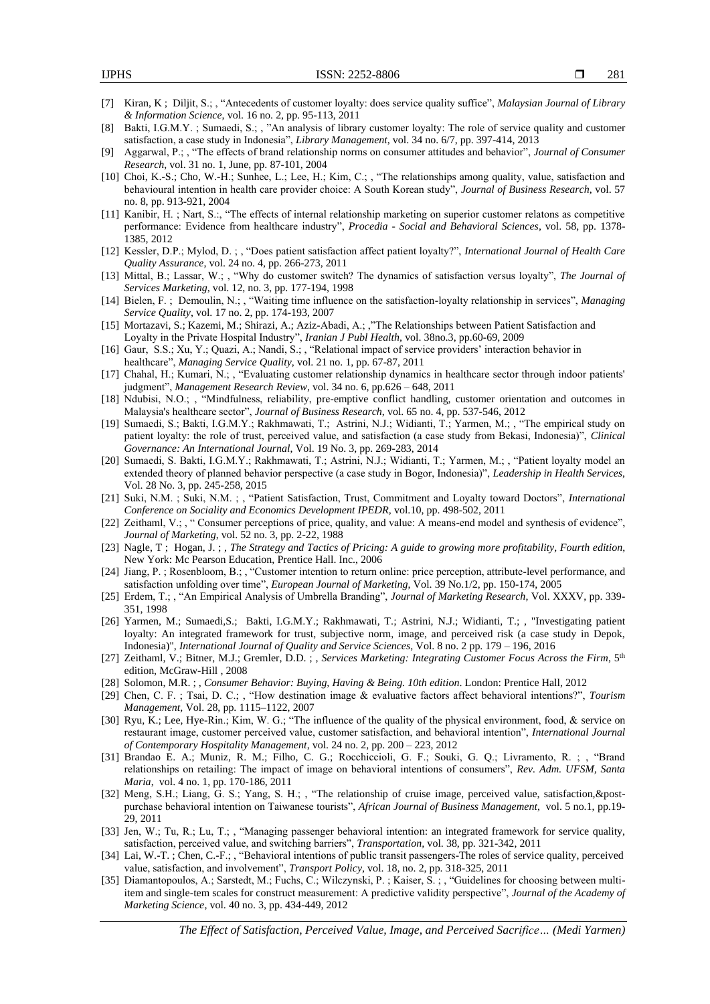- [7] Kiran, K ; Diljit, S.; , "Antecedents of customer loyalty: does service quality suffice", *Malaysian Journal of Library & Information Science*, vol. 16 no. 2, pp. 95-113, 2011
- [8] Bakti, I.G.M.Y. ; Sumaedi, S.; , "An analysis of library customer loyalty: The role of service quality and customer satisfaction, a case study in Indonesia", *Library Management*, vol. 34 no. 6/7, pp. 397-414, 2013
- [9] Aggarwal, P.; , "The effects of brand relationship norms on consumer attitudes and behavior", *Journal of Consumer Research*, vol. 31 no. 1, June, pp. 87-101, 2004
- [10] Choi, K.-S.; Cho, W.-H.; Sunhee, L.; Lee, H.; Kim, C.; , "The relationships among quality, value, satisfaction and behavioural intention in health care provider choice: A South Korean study", *Journal of Business Research*, vol. 57 no. 8, pp. 913-921, 2004
- [11] Kanibir, H. ; Nart, S.:, "The effects of internal relationship marketing on superior customer relatons as competitive performance: Evidence from healthcare industry", *Procedia - Social and Behavioral Sciences*, vol. 58, pp. 1378- 1385, 2012
- [12] Kessler, D.P.; Mylod, D. ; , "Does patient satisfaction affect patient loyalty?", *International Journal of Health Care Quality Assurance*, vol. 24 no. 4, pp. 266-273, 2011
- [13] Mittal, B.; Lassar, W.; , "Why do customer switch? The dynamics of satisfaction versus loyalty", *The Journal of Services Marketing*, vol. 12, no. 3, pp. 177-194, 1998
- [14] Bielen, F. ; Demoulin, N.; , "Waiting time influence on the satisfaction-loyalty relationship in services", *Managing Service Quality*, vol. 17 no. 2, pp. 174-193, 2007
- [15] Mortazavi, S.; Kazemi, M.; Shirazi, A.; Aziz-Abadi, A.; ,"The Relationships between Patient Satisfaction and Loyalty in the Private Hospital Industry", *Iranian J Publ Health,* vol. 38no.3, pp.60-69, 2009
- [16] Gaur, S.S.; Xu, Y.; Quazi, A.; Nandi, S.; , "Relational impact of service providers' interaction behavior in healthcare", *Managing Service Quality*, vol. 21 no. 1, pp. 67-87, 2011
- [17] Chahal, H.; Kumari, N.; , "Evaluating customer relationship dynamics in healthcare sector through indoor patients' judgment", *Management Research Review*, vol. 34 no. 6, pp.626 – 648, 2011
- [18] Ndubisi, N.O.; , "Mindfulness, reliability, pre-emptive conflict handling, customer orientation and outcomes in Malaysia's healthcare sector", *Journal of Business Research*, vol. 65 no. 4, pp. 537-546, 2012
- [19] Sumaedi, S.; Bakti, I.G.M.Y.; Rakhmawati, T.; Astrini, N.J.; Widianti, T.; Yarmen, M.; , "The empirical study on patient loyalty: the role of trust, perceived value, and satisfaction (a case study from Bekasi, Indonesia)", *Clinical Governance: An International Journal*, Vol. 19 No. 3, pp. 269-283, 2014
- [20] Sumaedi, S. Bakti, I.G.M.Y.; Rakhmawati, T.; Astrini, N.J.; Widianti, T.; Yarmen, M.; , "Patient loyalty model an extended theory of planned behavior perspective (a case study in Bogor, Indonesia)", *Leadership in Health Services*, Vol. 28 No. 3, pp. 245-258, 2015
- [21] Suki, N.M. ; Suki, N.M. ; , "Patient Satisfaction, Trust, Commitment and Loyalty toward Doctors", *International Conference on Sociality and Economics Development IPEDR,* vol.10, pp. 498-502, 2011
- [22] Zeithaml, V.; , " Consumer perceptions of price, quality, and value: A means-end model and synthesis of evidence", *Journal of Marketing*, vol. 52 no. 3, pp. 2-22, 1988
- [23] Nagle, T ; Hogan, J. ; , *The Strategy and Tactics of Pricing: A guide to growing more profitability, Fourth edition*, New York: Mc Pearson Education, Prentice Hall. Inc., 2006
- [24] Jiang, P. ; Rosenbloom, B.; , "Customer intention to return online: price perception, attribute-level performance, and satisfaction unfolding over time", *European Journal of Marketing*, Vol. 39 No.1/2, pp. 150-174, 2005
- [25] Erdem, T.; , "An Empirical Analysis of Umbrella Branding", *Journal of Marketing Research*, Vol. XXXV, pp. 339- 351, 1998
- [26] Yarmen, M.; Sumaedi,S.; Bakti, I.G.M.Y.; Rakhmawati, T.; Astrini, N.J.; Widianti, T.; , "Investigating patient loyalty: An integrated framework for trust, subjective norm, image, and perceived risk (a case study in Depok, Indonesia)", *International Journal of Quality and Service Sciences*, Vol. 8 no. 2 pp. 179 – 196, 2016
- [27] Zeithaml, V.; Bitner, M.J.; Gremler, D.D. ; , *Services Marketing: Integrating Customer Focus Across the Firm*, 5th edition, McGraw-Hill , 2008
- [28] Solomon, M.R. ; , *Consumer Behavior: Buying, Having & Being. 10th edition*. London: Prentice Hall, 2012
- [29] Chen, C. F. ; Tsai, D. C.; , "How destination image & evaluative factors affect behavioral intentions?", *Tourism Management,* Vol. 28, pp. 1115–1122, 2007
- [30] Ryu, K.; Lee, Hye-Rin.; Kim, W. G.; "The influence of the quality of the physical environment, food, & service on restaurant image, customer perceived value, customer satisfaction, and behavioral intention", *International Journal of Contemporary Hospitality Management*, vol. 24 no. 2, pp. 200 – 223, 2012
- [31] Brandao E. A.; Muniz, R. M.; Filho, C. G.; Rocchiccioli, G. F.; Souki, G. Q.; Livramento, R. ; , "Brand relationships on retailing: The impact of image on behavioral intentions of consumers", *Rev. Adm. UFSM, Santa Maria*, vol. 4 no. 1, pp. 170-186, 2011
- [32] Meng, S.H.; Liang, G. S.; Yang, S. H.; , "The relationship of cruise image, perceived value, satisfaction,&postpurchase behavioral intention on Taiwanese tourists", *African Journal of Business Management*, vol. 5 no.1, pp.19- 29, 2011
- [33] Jen, W.; Tu, R.; Lu, T.; , "Managing passenger behavioral intention: an integrated framework for service quality, satisfaction, perceived value, and switching barriers", *Transportation,* vol. 38, pp. 321-342, 2011
- [34] Lai, W.-T. ; Chen, C.-F.; , "Behavioral intentions of public transit passengers-The roles of service quality, perceived value, satisfaction, and involvement", *Transport Policy*, vol. 18, no. 2, pp. 318-325, 2011
- [35] Diamantopoulos, A.; Sarstedt, M.; Fuchs, C.; Wilczynski, P. ; Kaiser, S. ; , "Guidelines for choosing between multiitem and single-tem scales for construct measurement: A predictive validity perspective", *Journal of the Academy of Marketing Science*, vol. 40 no. 3, pp. 434-449, 2012